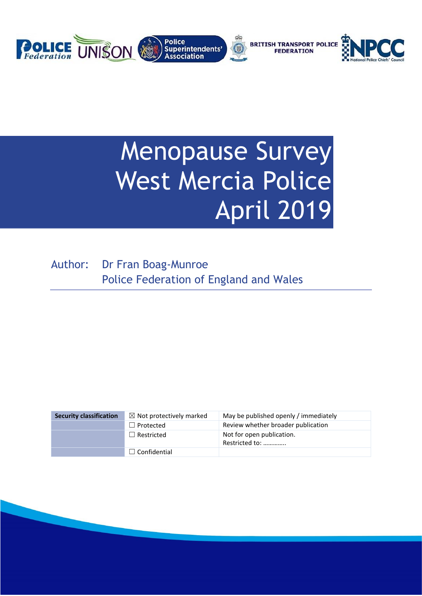

# Menopause Survey West Mercia Police April 2019

Author: Dr Fran Boag-Munroe Police Federation of England and Wales

| <b>Security classification</b> | $\boxtimes$ Not protectively marked | May be published openly / immediately       |
|--------------------------------|-------------------------------------|---------------------------------------------|
|                                | $\Box$ Protected                    | Review whether broader publication          |
|                                | $\Box$ Restricted                   | Not for open publication.<br>Restricted to: |
|                                | $\Box$ Confidential                 |                                             |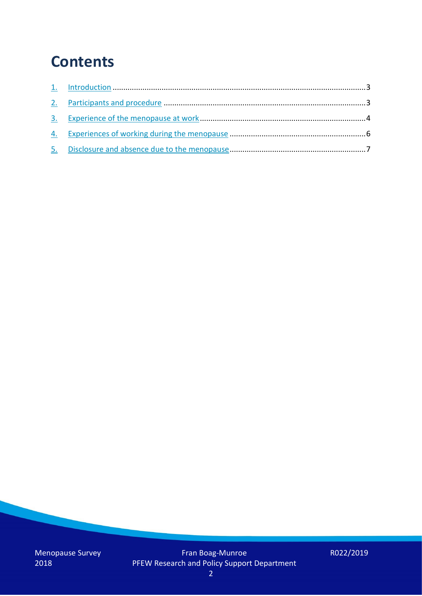## **Contents**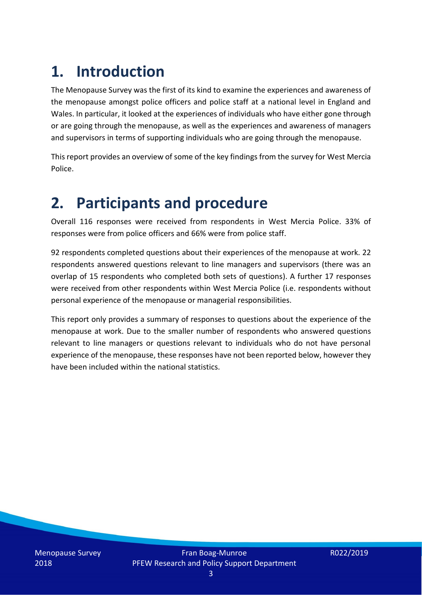# **1. Introduction**

The Menopause Survey was the first of its kind to examine the experiences and awareness of the menopause amongst police officers and police staff at a national level in England and Wales. In particular, it looked at the experiences of individuals who have either gone through or are going through the menopause, as well as the experiences and awareness of managers and supervisors in terms of supporting individuals who are going through the menopause.

This report provides an overview of some of the key findings from the survey for West Mercia Police.

### **2. Participants and procedure**

Overall 116 responses were received from respondents in West Mercia Police. 33% of responses were from police officers and 66% were from police staff.

92 respondents completed questions about their experiences of the menopause at work. 22 respondents answered questions relevant to line managers and supervisors (there was an overlap of 15 respondents who completed both sets of questions). A further 17 responses were received from other respondents within West Mercia Police (i.e. respondents without personal experience of the menopause or managerial responsibilities.

This report only provides a summary of responses to questions about the experience of the menopause at work. Due to the smaller number of respondents who answered questions relevant to line managers or questions relevant to individuals who do not have personal experience of the menopause, these responses have not been reported below, however they have been included within the national statistics.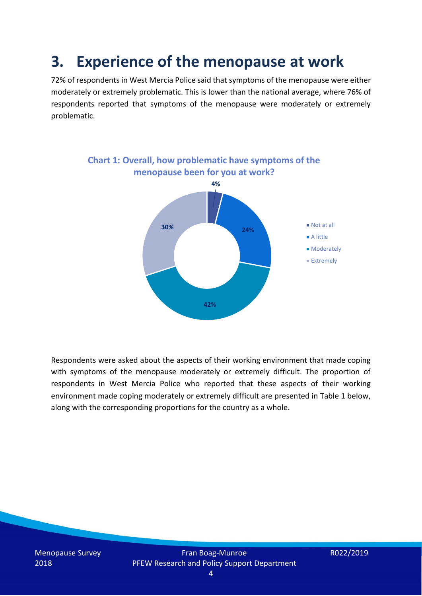### **3. Experience of the menopause at work**

72% of respondents in West Mercia Police said that symptoms of the menopause were either moderately or extremely problematic. This is lower than the national average, where 76% of respondents reported that symptoms of the menopause were moderately or extremely problematic.



Respondents were asked about the aspects of their working environment that made coping with symptoms of the menopause moderately or extremely difficult. The proportion of respondents in West Mercia Police who reported that these aspects of their working environment made coping moderately or extremely difficult are presented in Table 1 below, along with the corresponding proportions for the country as a whole.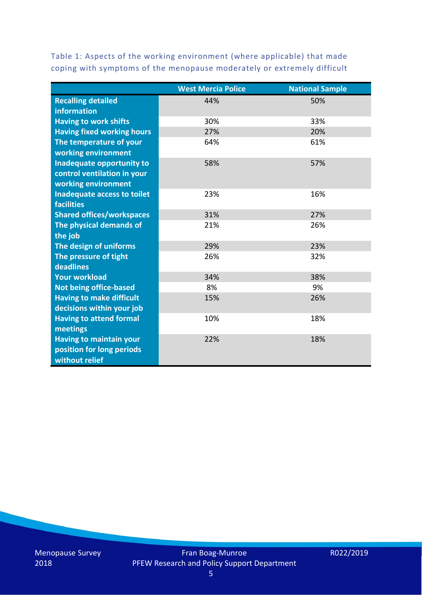Table 1: Aspects of the working environment (where applicable) that made coping with symptoms of the menopause moderately or extremely difficult

|                                   | <b>West Mercia Police</b> | <b>National Sample</b> |
|-----------------------------------|---------------------------|------------------------|
| <b>Recalling detailed</b>         | 44%                       | 50%                    |
| information                       |                           |                        |
| <b>Having to work shifts</b>      | 30%                       | 33%                    |
| <b>Having fixed working hours</b> | 27%                       | 20%                    |
| The temperature of your           | 64%                       | 61%                    |
| working environment               |                           |                        |
| Inadequate opportunity to         | 58%                       | 57%                    |
| control ventilation in your       |                           |                        |
| working environment               |                           |                        |
| Inadequate access to toilet       | 23%                       | 16%                    |
| <b>facilities</b>                 |                           |                        |
| <b>Shared offices/workspaces</b>  | 31%                       | 27%                    |
| The physical demands of           | 21%                       | 26%                    |
| the job                           |                           |                        |
| The design of uniforms            | 29%                       | 23%                    |
| The pressure of tight             | 26%                       | 32%                    |
| deadlines                         |                           |                        |
| <b>Your workload</b>              | 34%                       | 38%                    |
| <b>Not being office-based</b>     | 8%                        | 9%                     |
| <b>Having to make difficult</b>   | 15%                       | 26%                    |
| decisions within your job         |                           |                        |
| <b>Having to attend formal</b>    | 10%                       | 18%                    |
| meetings                          |                           |                        |
| <b>Having to maintain your</b>    | 22%                       | 18%                    |
| position for long periods         |                           |                        |
| without relief                    |                           |                        |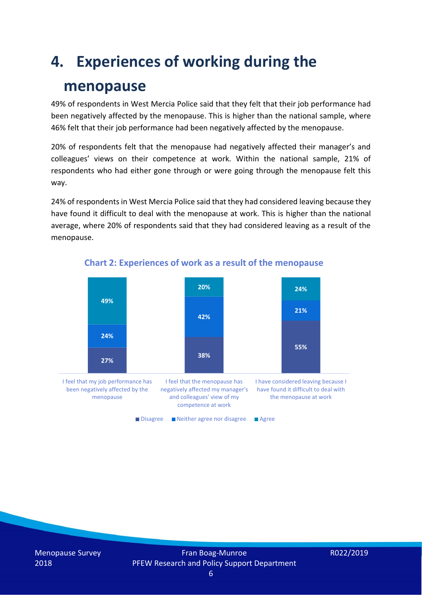## **4. Experiences of working during the**

### **menopause**

49% of respondents in West Mercia Police said that they felt that their job performance had been negatively affected by the menopause. This is higher than the national sample, where 46% felt that their job performance had been negatively affected by the menopause.

20% of respondents felt that the menopause had negatively affected their manager's and colleagues' views on their competence at work. Within the national sample, 21% of respondents who had either gone through or were going through the menopause felt this way.

24% of respondents in West Mercia Police said that they had considered leaving because they have found it difficult to deal with the menopause at work. This is higher than the national average, where 20% of respondents said that they had considered leaving as a result of the menopause.



#### **Chart 2: Experiences of work as a result of the menopause**